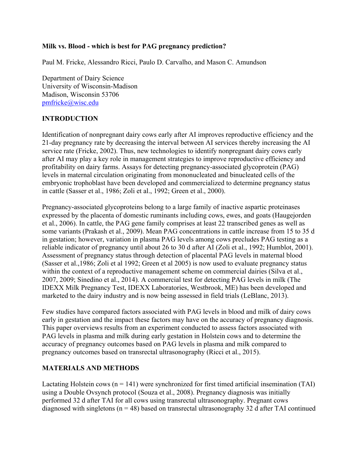#### **Milk vs. Blood - which is best for PAG pregnancy prediction?**

Paul M. Fricke, Alessandro Ricci, Paulo D. Carvalho, and Mason C. Amundson

Department of Dairy Science University of Wisconsin-Madison Madison, Wisconsin 53706 pmfricke@wisc.edu

#### **INTRODUCTION**

Identification of nonpregnant dairy cows early after AI improves reproductive efficiency and the 21-day pregnancy rate by decreasing the interval between AI services thereby increasing the AI service rate (Fricke, 2002). Thus, new technologies to identify nonpregnant dairy cows early after AI may play a key role in management strategies to improve reproductive efficiency and profitability on dairy farms. Assays for detecting pregnancy-associated glycoprotein (PAG) levels in maternal circulation originating from mononucleated and binucleated cells of the embryonic trophoblast have been developed and commercialized to determine pregnancy status in cattle (Sasser et al., 1986; Zoli et al., 1992; Green et al., 2000).

Pregnancy-associated glycoproteins belong to a large family of inactive aspartic proteinases expressed by the placenta of domestic ruminants including cows, ewes, and goats (Haugejorden et al., 2006). In cattle, the PAG gene family comprises at least 22 transcribed genes as well as some variants (Prakash et al., 2009). Mean PAG concentrations in cattle increase from 15 to 35 d in gestation; however, variation in plasma PAG levels among cows precludes PAG testing as a reliable indicator of pregnancy until about 26 to 30 d after AI (Zoli et al., 1992; Humblot, 2001). Assessment of pregnancy status through detection of placental PAG levels in maternal blood (Sasser et al.,1986; Zoli et al 1992; Green et al 2005) is now used to evaluate pregnancy status within the context of a reproductive management scheme on commercial dairies (Silva et al., 2007, 2009; Sinedino et al., 2014). A commercial test for detecting PAG levels in milk (The IDEXX Milk Pregnancy Test, IDEXX Laboratories, Westbrook, ME) has been developed and marketed to the dairy industry and is now being assessed in field trials (LeBlanc, 2013).

Few studies have compared factors associated with PAG levels in blood and milk of dairy cows early in gestation and the impact these factors may have on the accuracy of pregnancy diagnosis. This paper overviews results from an experiment conducted to assess factors associated with PAG levels in plasma and milk during early gestation in Holstein cows and to determine the accuracy of pregnancy outcomes based on PAG levels in plasma and milk compared to pregnancy outcomes based on transrectal ultrasonography (Ricci et al., 2015).

# **MATERIALS AND METHODS**

Lactating Holstein cows ( $n = 141$ ) were synchronized for first timed artificial insemination (TAI) using a Double Ovsynch protocol (Souza et al., 2008). Pregnancy diagnosis was initially performed 32 d after TAI for all cows using transrectal ultrasonography. Pregnant cows diagnosed with singletons ( $n = 48$ ) based on transrectal ultrasonography 32 d after TAI continued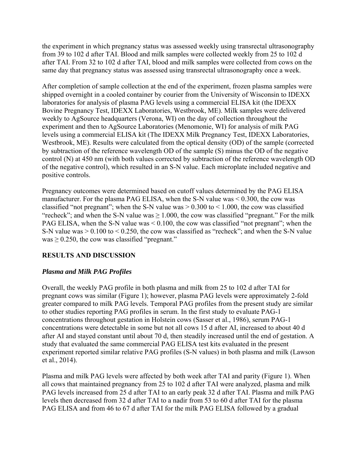the experiment in which pregnancy status was assessed weekly using transrectal ultrasonography from 39 to 102 d after TAI. Blood and milk samples were collected weekly from 25 to 102 d after TAI. From 32 to 102 d after TAI, blood and milk samples were collected from cows on the same day that pregnancy status was assessed using transrectal ultrasonography once a week.

After completion of sample collection at the end of the experiment, frozen plasma samples were shipped overnight in a cooled container by courier from the University of Wisconsin to IDEXX laboratories for analysis of plasma PAG levels using a commercial ELISA kit (the IDEXX Bovine Pregnancy Test, IDEXX Laboratories, Westbrook, ME). Milk samples were delivered weekly to AgSource headquarters (Verona, WI) on the day of collection throughout the experiment and then to AgSource Laboratories (Menomonie, WI) for analysis of milk PAG levels using a commercial ELISA kit (The IDEXX Milk Pregnancy Test, IDEXX Laboratories, Westbrook, ME). Results were calculated from the optical density (OD) of the sample (corrected by subtraction of the reference wavelength OD of the sample (S) minus the OD of the negative control (N) at 450 nm (with both values corrected by subtraction of the reference wavelength OD of the negative control), which resulted in an S-N value. Each microplate included negative and positive controls.

Pregnancy outcomes were determined based on cutoff values determined by the PAG ELISA manufacturer. For the plasma PAG ELISA, when the S-N value was < 0.300, the cow was classified "not pregnant"; when the S-N value was  $> 0.300$  to  $< 1.000$ , the cow was classified "recheck"; and when the S-N value was  $\geq 1.000$ , the cow was classified "pregnant." For the milk PAG ELISA, when the S-N value was < 0.100, the cow was classified "not pregnant"; when the S-N value was > 0.100 to < 0.250, the cow was classified as "recheck"; and when the S-N value was  $\geq$  0.250, the cow was classified "pregnant."

# **RESULTS AND DISCUSSION**

# *Plasma and Milk PAG Profiles*

Overall, the weekly PAG profile in both plasma and milk from 25 to 102 d after TAI for pregnant cows was similar (Figure 1); however, plasma PAG levels were approximately 2-fold greater compared to milk PAG levels. Temporal PAG profiles from the present study are similar to other studies reporting PAG profiles in serum. In the first study to evaluate PAG-1 concentrations throughout gestation in Holstein cows (Sasser et al., 1986), serum PAG-1 concentrations were detectable in some but not all cows 15 d after AI, increased to about 40 d after AI and stayed constant until about 70 d, then steadily increased until the end of gestation. A study that evaluated the same commercial PAG ELISA test kits evaluated in the present experiment reported similar relative PAG profiles (S-N values) in both plasma and milk (Lawson et al., 2014).

Plasma and milk PAG levels were affected by both week after TAI and parity (Figure 1). When all cows that maintained pregnancy from 25 to 102 d after TAI were analyzed, plasma and milk PAG levels increased from 25 d after TAI to an early peak 32 d after TAI. Plasma and milk PAG levels then decreased from 32 d after TAI to a nadir from 53 to 60 d after TAI for the plasma PAG ELISA and from 46 to 67 d after TAI for the milk PAG ELISA followed by a gradual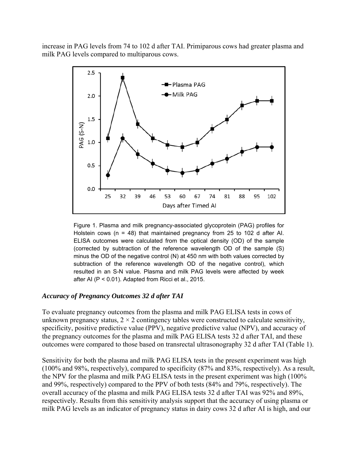increase in PAG levels from 74 to 102 d after TAI. Primiparous cows had greater plasma and milk PAG levels compared to multiparous cows.



Figure 1. Plasma and milk pregnancy-associated glycoprotein (PAG) profiles for Holstein cows (n = 48) that maintained pregnancy from 25 to 102 d after AI. ELISA outcomes were calculated from the optical density (OD) of the sample (corrected by subtraction of the reference wavelength OD of the sample (S) minus the OD of the negative control (N) at 450 nm with both values corrected by subtraction of the reference wavelength OD of the negative control), which resulted in an S-N value. Plasma and milk PAG levels were affected by week after AI (P < 0.01). Adapted from Ricci et al., 2015.

#### *Accuracy of Pregnancy Outcomes 32 d after TAI*

To evaluate pregnancy outcomes from the plasma and milk PAG ELISA tests in cows of unknown pregnancy status,  $2 \times 2$  contingency tables were constructed to calculate sensitivity, specificity, positive predictive value (PPV), negative predictive value (NPV), and accuracy of the pregnancy outcomes for the plasma and milk PAG ELISA tests 32 d after TAI, and these outcomes were compared to those based on transrectal ultrasonography 32 d after TAI (Table 1).

Sensitivity for both the plasma and milk PAG ELISA tests in the present experiment was high (100% and 98%, respectively), compared to specificity (87% and 83%, respectively). As a result, the NPV for the plasma and milk PAG ELISA tests in the present experiment was high (100% and 99%, respectively) compared to the PPV of both tests (84% and 79%, respectively). The overall accuracy of the plasma and milk PAG ELISA tests 32 d after TAI was 92% and 89%, respectively. Results from this sensitivity analysis support that the accuracy of using plasma or milk PAG levels as an indicator of pregnancy status in dairy cows 32 d after AI is high, and our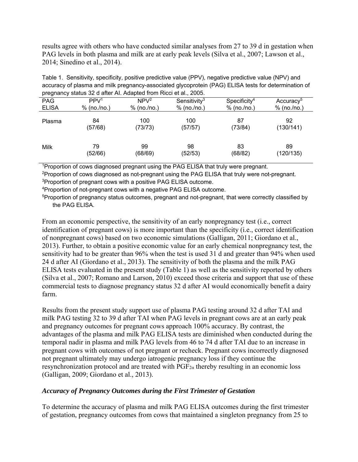results agree with others who have conducted similar analyses from 27 to 39 d in gestation when PAG levels in both plasma and milk are at early peak levels (Silva et al., 2007; Lawson et al., 2014; Sinedino et al., 2014).

| Table 1. Sensitivity, specificity, positive predictive value (PPV), negative predictive value (NPV) and |
|---------------------------------------------------------------------------------------------------------|
| accuracy of plasma and milk pregnancy-associated glycoprotein (PAG) ELISA tests for determination of    |
| pregnancy status 32 d after AI. Adapted from Ricci et al., 2005.                                        |

| <b>PAG</b>   | PPV <sup>1</sup> | NPV <sup>2</sup> | Sensitivity <sup>3</sup> | $S$ pecificity <sup>4</sup> | Accuracy <sup>5</sup> |  |
|--------------|------------------|------------------|--------------------------|-----------------------------|-----------------------|--|
| <b>ELISA</b> | % (no. /no.)     | % (no. /no.)     | % (no. /no.)             | $%$ (no./no.)               | % (no. /no.)          |  |
| Plasma       | 84<br>(57/68)    | 100<br>(73/73)   | 100<br>(57/57)           | 87<br>(73/84)               | 92<br>(130/141)       |  |
| Milk         | 79<br>(52/66)    | 99<br>(68/69)    | 98<br>(52/53)            | 83<br>(68/82)               | 89<br>(120/135)       |  |

1Proportion of cows diagnosed pregnant using the PAG ELISA that truly were pregnant.

2Proportion of cows diagnosed as not-pregnant using the PAG ELISA that truly were not-pregnant. <sup>3</sup>Proportion of pregnant cows with a positive PAG ELISA outcome.

4Proportion of not-pregnant cows with a negative PAG ELISA outcome.

<sup>5</sup>Proportion of pregnancy status outcomes, pregnant and not-pregnant, that were correctly classified by the PAG ELISA.

From an economic perspective, the sensitivity of an early nonpregnancy test (i.e., correct identification of pregnant cows) is more important than the specificity (i.e., correct identification of nonpregnant cows) based on two economic simulations (Galligan, 2011; Giordano et al., 2013). Further, to obtain a positive economic value for an early chemical nonpregnancy test, the sensitivity had to be greater than 96% when the test is used 31 d and greater than 94% when used 24 d after AI (Giordano et al., 2013). The sensitivity of both the plasma and the milk PAG ELISA tests evaluated in the present study (Table 1) as well as the sensitivity reported by others (Silva et al., 2007; Romano and Larson, 2010) exceed those criteria and support that use of these commercial tests to diagnose pregnancy status 32 d after AI would economically benefit a dairy farm.

Results from the present study support use of plasma PAG testing around 32 d after TAI and milk PAG testing 32 to 39 d after TAI when PAG levels in pregnant cows are at an early peak and pregnancy outcomes for pregnant cows approach 100% accuracy. By contrast, the advantages of the plasma and milk PAG ELISA tests are diminished when conducted during the temporal nadir in plasma and milk PAG levels from 46 to 74 d after TAI due to an increase in pregnant cows with outcomes of not pregnant or recheck. Pregnant cows incorrectly diagnosed not pregnant ultimately may undergo iatrogenic pregnancy loss if they continue the resynchronization protocol and are treated with  $PGF_{2\alpha}$  thereby resulting in an economic loss (Galligan, 2009; Giordano et al., 2013).

# *Accuracy of Pregnancy Outcomes during the First Trimester of Gestation*

To determine the accuracy of plasma and milk PAG ELISA outcomes during the first trimester of gestation, pregnancy outcomes from cows that maintained a singleton pregnancy from 25 to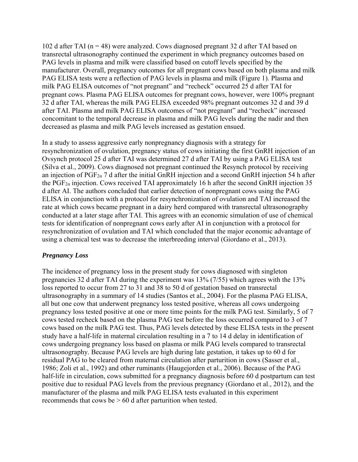102 d after TAI ( $n = 48$ ) were analyzed. Cows diagnosed pregnant 32 d after TAI based on transrectal ultrasonography continued the experiment in which pregnancy outcomes based on PAG levels in plasma and milk were classified based on cutoff levels specified by the manufacturer. Overall, pregnancy outcomes for all pregnant cows based on both plasma and milk PAG ELISA tests were a reflection of PAG levels in plasma and milk (Figure 1). Plasma and milk PAG ELISA outcomes of "not pregnant" and "recheck" occurred 25 d after TAI for pregnant cows. Plasma PAG ELISA outcomes for pregnant cows, however, were 100% pregnant 32 d after TAI, whereas the milk PAG ELISA exceeded 98% pregnant outcomes 32 d and 39 d after TAI. Plasma and milk PAG ELISA outcomes of "not pregnant" and "recheck" increased concomitant to the temporal decrease in plasma and milk PAG levels during the nadir and then decreased as plasma and milk PAG levels increased as gestation ensued.

In a study to assess aggressive early nonpregnancy diagnosis with a strategy for resynchronization of ovulation, pregnancy status of cows initiating the first GnRH injection of an Ovsynch protocol 25 d after TAI was determined 27 d after TAI by using a PAG ELISA test (Silva et al., 2009). Cows diagnosed not pregnant continued the Resynch protocol by receiving an injection of  $PGF_{2\alpha}$  7 d after the initial GnRH injection and a second GnRH injection 54 h after the PGF<sub>2 $\alpha$ </sub> injection. Cows received TAI approximately 16 h after the second GnRH injection 35 d after AI. The authors concluded that earlier detection of nonpregnant cows using the PAG ELISA in conjunction with a protocol for resynchronization of ovulation and TAI increased the rate at which cows became pregnant in a dairy herd compared with transrectal ultrasonography conducted at a later stage after TAI. This agrees with an economic simulation of use of chemical tests for identification of nonpregnant cows early after AI in conjunction with a protocol for resynchronization of ovulation and TAI which concluded that the major economic advantage of using a chemical test was to decrease the interbreeding interval (Giordano et al., 2013).

# *Pregnancy Loss*

The incidence of pregnancy loss in the present study for cows diagnosed with singleton pregnancies 32 d after TAI during the experiment was 13% (7/55) which agrees with the 13% loss reported to occur from 27 to 31 and 38 to 50 d of gestation based on transrectal ultrasonography in a summary of 14 studies (Santos et al., 2004). For the plasma PAG ELISA, all but one cow that underwent pregnancy loss tested positive, whereas all cows undergoing pregnancy loss tested positive at one or more time points for the milk PAG test. Similarly, 5 of 7 cows tested recheck based on the plasma PAG test before the loss occurred compared to 3 of 7 cows based on the milk PAG test. Thus, PAG levels detected by these ELISA tests in the present study have a half-life in maternal circulation resulting in a 7 to 14 d delay in identification of cows undergoing pregnancy loss based on plasma or milk PAG levels compared to transrectal ultrasonography. Because PAG levels are high during late gestation, it takes up to 60 d for residual PAG to be cleared from maternal circulation after parturition in cows (Sasser et al., 1986; Zoli et al., 1992) and other ruminants (Haugejorden et al., 2006). Because of the PAG half-life in circulation, cows submitted for a pregnancy diagnosis before 60 d postpartum can test positive due to residual PAG levels from the previous pregnancy (Giordano et al., 2012), and the manufacturer of the plasma and milk PAG ELISA tests evaluated in this experiment recommends that cows be  $> 60$  d after parturition when tested.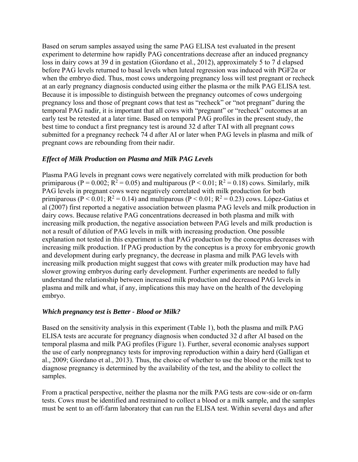Based on serum samples assayed using the same PAG ELISA test evaluated in the present experiment to determine how rapidly PAG concentrations decrease after an induced pregnancy loss in dairy cows at 39 d in gestation (Giordano et al., 2012), approximately 5 to 7 d elapsed before PAG levels returned to basal levels when luteal regression was induced with PGF2α or when the embryo died. Thus, most cows undergoing pregnancy loss will test pregnant or recheck at an early pregnancy diagnosis conducted using either the plasma or the milk PAG ELISA test. Because it is impossible to distinguish between the pregnancy outcomes of cows undergoing pregnancy loss and those of pregnant cows that test as "recheck" or "not pregnant" during the temporal PAG nadir, it is important that all cows with "pregnant" or "recheck" outcomes at an early test be retested at a later time. Based on temporal PAG profiles in the present study, the best time to conduct a first pregnancy test is around 32 d after TAI with all pregnant cows submitted for a pregnancy recheck 74 d after AI or later when PAG levels in plasma and milk of pregnant cows are rebounding from their nadir.

#### *Effect of Milk Production on Plasma and Milk PAG Levels*

Plasma PAG levels in pregnant cows were negatively correlated with milk production for both primiparous (P = 0.002;  $R^2 = 0.05$ ) and multiparous (P < 0.01;  $R^2 = 0.18$ ) cows. Similarly, milk PAG levels in pregnant cows were negatively correlated with milk production for both primiparous (P < 0.01;  $R^2 = 0.14$ ) and multiparous (P < 0.01;  $R^2 = 0.23$ ) cows. López-Gatius et al (2007) first reported a negative association between plasma PAG levels and milk production in dairy cows. Because relative PAG concentrations decreased in both plasma and milk with increasing milk production, the negative association between PAG levels and milk production is not a result of dilution of PAG levels in milk with increasing production. One possible explanation not tested in this experiment is that PAG production by the conceptus decreases with increasing milk production. If PAG production by the conceptus is a proxy for embryonic growth and development during early pregnancy, the decrease in plasma and milk PAG levels with increasing milk production might suggest that cows with greater milk production may have had slower growing embryos during early development. Further experiments are needed to fully understand the relationship between increased milk production and decreased PAG levels in plasma and milk and what, if any, implications this may have on the health of the developing embryo.

#### *Which pregnancy test is Better - Blood or Milk?*

Based on the sensitivity analysis in this experiment (Table 1), both the plasma and milk PAG ELISA tests are accurate for pregnancy diagnosis when conducted 32 d after AI based on the temporal plasma and milk PAG profiles (Figure 1). Further, several economic analyses support the use of early nonpregnancy tests for improving reproduction within a dairy herd (Galligan et al., 2009; Giordano et al., 2013). Thus, the choice of whether to use the blood or the milk test to diagnose pregnancy is determined by the availability of the test, and the ability to collect the samples.

From a practical perspective, neither the plasma nor the milk PAG tests are cow-side or on-farm tests. Cows must be identified and restrained to collect a blood or a milk sample, and the samples must be sent to an off-farm laboratory that can run the ELISA test. Within several days and after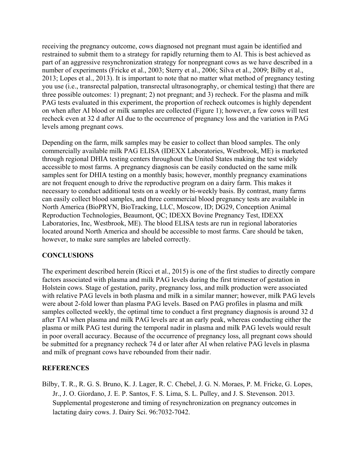receiving the pregnancy outcome, cows diagnosed not pregnant must again be identified and restrained to submit them to a strategy for rapidly returning them to AI. This is best achieved as part of an aggressive resynchronization strategy for nonpregnant cows as we have described in a number of experiments (Fricke et al., 2003; Sterry et al., 2006; Silva et al., 2009; Bilby et al., 2013; Lopes et al., 2013). It is important to note that no matter what method of pregnancy testing you use (i.e., transrectal palpation, transrectal ultrasonography, or chemical testing) that there are three possible outcomes: 1) pregnant; 2) not pregnant; and 3) recheck. For the plasma and milk PAG tests evaluated in this experiment, the proportion of recheck outcomes is highly dependent on when after AI blood or milk samples are collected (Figure 1); however, a few cows will test recheck even at 32 d after AI due to the occurrence of pregnancy loss and the variation in PAG levels among pregnant cows.

Depending on the farm, milk samples may be easier to collect than blood samples. The only commercially available milk PAG ELISA (IDEXX Laboratories, Westbrook, ME) is marketed through regional DHIA testing centers throughout the United States making the test widely accessible to most farms. A pregnancy diagnosis can be easily conducted on the same milk samples sent for DHIA testing on a monthly basis; however, monthly pregnancy examinations are not frequent enough to drive the reproductive program on a dairy farm. This makes it necessary to conduct additional tests on a weekly or bi-weekly basis. By contrast, many farms can easily collect blood samples, and three commercial blood pregnancy tests are available in North America (BioPRYN, BioTracking, LLC, Moscow, ID; DG29, Conception Animal Reproduction Technologies, Beaumont, QC; IDEXX Bovine Pregnancy Test, IDEXX Laboratories, Inc, Westbrook, ME). The blood ELISA tests are run in regional laboratories located around North America and should be accessible to most farms. Care should be taken, however, to make sure samples are labeled correctly.

# **CONCLUSIONS**

The experiment described herein (Ricci et al., 2015) is one of the first studies to directly compare factors associated with plasma and milk PAG levels during the first trimester of gestation in Holstein cows. Stage of gestation, parity, pregnancy loss, and milk production were associated with relative PAG levels in both plasma and milk in a similar manner; however, milk PAG levels were about 2-fold lower than plasma PAG levels. Based on PAG profiles in plasma and milk samples collected weekly, the optimal time to conduct a first pregnancy diagnosis is around 32 d after TAI when plasma and milk PAG levels are at an early peak, whereas conducting either the plasma or milk PAG test during the temporal nadir in plasma and milk PAG levels would result in poor overall accuracy. Because of the occurrence of pregnancy loss, all pregnant cows should be submitted for a pregnancy recheck 74 d or later after AI when relative PAG levels in plasma and milk of pregnant cows have rebounded from their nadir.

# **REFERENCES**

Bilby, T. R., R. G. S. Bruno, K. J. Lager, R. C. Chebel, J. G. N. Moraes, P. M. Fricke, G. Lopes, Jr., J. O. Giordano, J. E. P. Santos, F. S. Lima, S. L. Pulley, and J. S. Stevenson. 2013. Supplemental progesterone and timing of resynchronization on pregnancy outcomes in lactating dairy cows. J. Dairy Sci. 96:7032-7042.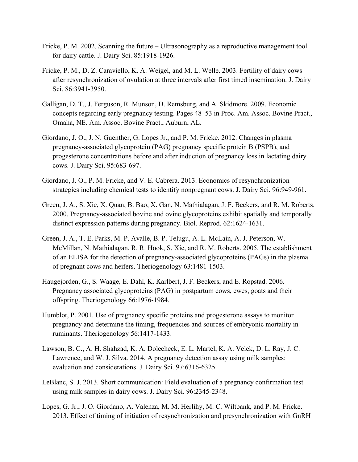- Fricke, P. M. 2002. Scanning the future Ultrasonography as a reproductive management tool for dairy cattle. J. Dairy Sci. 85:1918-1926.
- Fricke, P. M., D. Z. Caraviello, K. A. Weigel, and M. L. Welle. 2003. Fertility of dairy cows after resynchronization of ovulation at three intervals after first timed insemination. J. Dairy Sci. 86:3941-3950.
- Galligan, D. T., J. Ferguson, R. Munson, D. Remsburg, and A. Skidmore. 2009. Economic concepts regarding early pregnancy testing. Pages 48–53 in Proc. Am. Assoc. Bovine Pract., Omaha, NE. Am. Assoc. Bovine Pract., Auburn, AL.
- Giordano, J. O., J. N. Guenther, G. Lopes Jr., and P. M. Fricke. 2012. Changes in plasma pregnancy-associated glycoprotein (PAG) pregnancy specific protein B (PSPB), and progesterone concentrations before and after induction of pregnancy loss in lactating dairy cows. J. Dairy Sci. 95:683-697.
- Giordano, J. O., P. M. Fricke, and V. E. Cabrera. 2013. Economics of resynchronization strategies including chemical tests to identify nonpregnant cows. J. Dairy Sci. 96:949-961.
- Green, J. A., S. Xie, X. Quan, B. Bao, X. Gan, N. Mathialagan, J. F. Beckers, and R. M. Roberts. 2000. Pregnancy-associated bovine and ovine glycoproteins exhibit spatially and temporally distinct expression patterns during pregnancy. Biol. Reprod. 62:1624-1631.
- Green, J. A., T. E. Parks, M. P. Avalle, B. P. Telugu, A. L. McLain, A. J. Peterson, W. McMillan, N. Mathialagan, R. R. Hook, S. Xie, and R. M. Roberts. 2005. The establishment of an ELISA for the detection of pregnancy-associated glycoproteins (PAGs) in the plasma of pregnant cows and heifers. Theriogenology 63:1481-1503.
- Haugejorden, G., S. Waage, E. Dahl, K. Karlbert, J. F. Beckers, and E. Ropstad. 2006. Pregnancy associated glycoproteins (PAG) in postpartum cows, ewes, goats and their offspring. Theriogenology 66:1976-1984.
- Humblot, P. 2001. Use of pregnancy specific proteins and progesterone assays to monitor pregnancy and determine the timing, frequencies and sources of embryonic mortality in ruminants. Theriogenology 56:1417-1433.
- Lawson, B. C., A. H. Shahzad, K. A. Dolecheck, E. L. Martel, K. A. Velek, D. L. Ray, J. C. Lawrence, and W. J. Silva. 2014. A pregnancy detection assay using milk samples: evaluation and considerations. J. Dairy Sci. 97:6316-6325.
- LeBlanc, S. J. 2013. Short communication: Field evaluation of a pregnancy confirmation test using milk samples in dairy cows. J. Dairy Sci. 96:2345-2348.
- Lopes, G. Jr., J. O. Giordano, A. Valenza, M. M. Herlihy, M. C. Wiltbank, and P. M. Fricke. 2013. Effect of timing of initiation of resynchronization and presynchronization with GnRH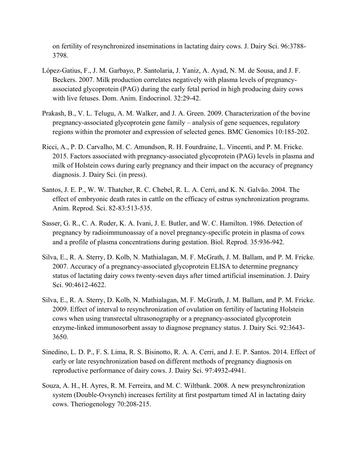on fertility of resynchronized inseminations in lactating dairy cows. J. Dairy Sci. 96:3788- 3798.

- López-Gatius, F., J. M. Garbayo, P. Santolaria, J. Yaniz, A. Ayad, N. M. de Sousa, and J. F. Beckers. 2007. Milk production correlates negatively with plasma levels of pregnancyassociated glycoprotein (PAG) during the early fetal period in high producing dairy cows with live fetuses. Dom. Anim. Endocrinol. 32:29-42.
- Prakash, B., V. L. Telugu, A. M. Walker, and J. A. Green. 2009. Characterization of the bovine pregnancy-associated glycoprotein gene family – analysis of gene sequences, regulatory regions within the promoter and expression of selected genes. BMC Genomics 10:185-202.
- Ricci, A., P. D. Carvalho, M. C. Amundson, R. H. Fourdraine, L. Vincenti, and P. M. Fricke. 2015. Factors associated with pregnancy-associated glycoprotein (PAG) levels in plasma and milk of Holstein cows during early pregnancy and their impact on the accuracy of pregnancy diagnosis. J. Dairy Sci. (in press).
- Santos, J. E. P., W. W. Thatcher, R. C. Chebel, R. L. A. Cerri, and K. N. Galvão. 2004. The effect of embryonic death rates in cattle on the efficacy of estrus synchronization programs. Anim. Reprod. Sci. 82-83:513-535.
- Sasser, G. R., C. A. Ruder, K. A. Ivani, J. E. Butler, and W. C. Hamilton. 1986. Detection of pregnancy by radioimmunoassay of a novel pregnancy-specific protein in plasma of cows and a profile of plasma concentrations during gestation. Biol. Reprod. 35:936-942.
- Silva, E., R. A. Sterry, D. Kolb, N. Mathialagan, M. F. McGrath, J. M. Ballam, and P. M. Fricke. 2007. Accuracy of a pregnancy-associated glycoprotein ELISA to determine pregnancy status of lactating dairy cows twenty-seven days after timed artificial insemination. J. Dairy Sci. 90:4612-4622.
- Silva, E., R. A. Sterry, D. Kolb, N. Mathialagan, M. F. McGrath, J. M. Ballam, and P. M. Fricke. 2009. Effect of interval to resynchronization of ovulation on fertility of lactating Holstein cows when using transrectal ultrasonography or a pregnancy-associated glycoprotein enzyme-linked immunosorbent assay to diagnose pregnancy status. J. Dairy Sci. 92:3643- 3650.
- Sinedino, L. D. P., F. S. Lima, R. S. Bisinotto, R. A. A. Cerri, and J. E. P. Santos. 2014. Effect of early or late resynchronization based on different methods of pregnancy diagnosis on reproductive performance of dairy cows. J. Dairy Sci. 97:4932-4941.
- Souza, A. H., H. Ayres, R. M. Ferreira, and M. C. Wiltbank. 2008. A new presynchronization system (Double-Ovsynch) increases fertility at first postpartum timed AI in lactating dairy cows. Theriogenology 70:208-215.